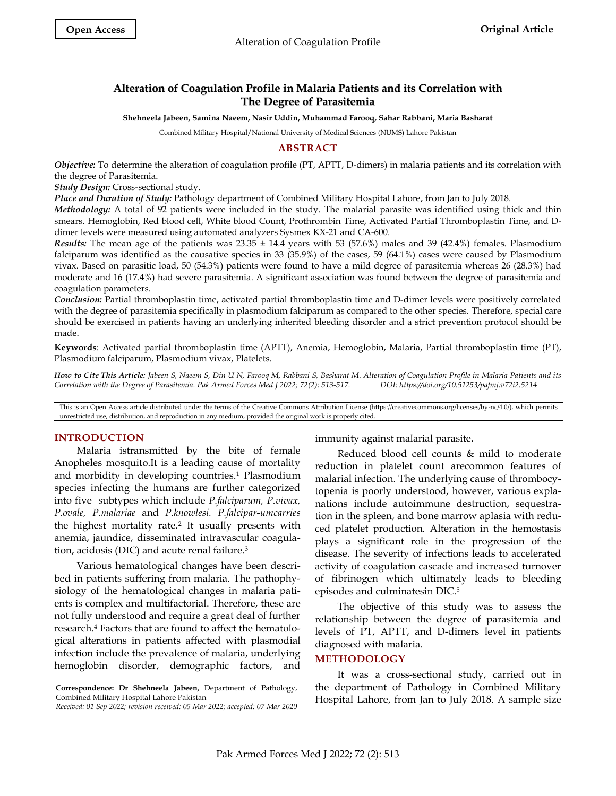# **Alteration of Coagulation Profile in Malaria Patients and its Correlation with The Degree of Parasitemia**

**Shehneela Jabeen, Samina Naeem, Nasir Uddin, Muhammad Farooq, Sahar Rabbani, Maria Basharat** 

Combined Military Hospital/National University of Medical Sciences (NUMS) Lahore Pakistan

## **ABSTRACT**

*Objective:* To determine the alteration of coagulation profile (PT, APTT, D-dimers) in malaria patients and its correlation with the degree of Parasitemia.

*Study Design:* Cross-sectional study.

*Place and Duration of Study:* Pathology department of Combined Military Hospital Lahore, from Jan to July 2018.

*Methodology:* A total of 92 patients were included in the study. The malarial parasite was identified using thick and thin smears. Hemoglobin, Red blood cell, White blood Count, Prothrombin Time, Activated Partial Thromboplastin Time, and Ddimer levels were measured using automated analyzers Sysmex KX-21 and CA-600.

*Results:* The mean age of the patients was 23.35 ± 14.4 years with 53 (57.6%) males and 39 (42.4%) females. Plasmodium falciparum was identified as the causative species in 33 (35.9%) of the cases, 59 (64.1%) cases were caused by Plasmodium vivax. Based on parasitic load, 50 (54.3%) patients were found to have a mild degree of parasitemia whereas 26 (28.3%) had moderate and 16 (17.4%) had severe parasitemia. A significant association was found between the degree of parasitemia and coagulation parameters.

*Conclusion:* Partial thromboplastin time, activated partial thromboplastin time and D-dimer levels were positively correlated with the degree of parasitemia specifically in plasmodium falciparum as compared to the other species. Therefore, special care should be exercised in patients having an underlying inherited bleeding disorder and a strict prevention protocol should be made.

**Keywords**: Activated partial thromboplastin time (APTT), Anemia, Hemoglobin, Malaria, Partial thromboplastin time (PT), Plasmodium falciparum, Plasmodium vivax, Platelets.

*How to Cite This Article: Jabeen S, Naeem S, Din U N, Farooq M, Rabbani S, Basharat M. Alteration of Coagulation Profile in Malaria Patients and its Correlation with the Degree of Parasitemia. Pak Armed Forces Med J 2022; 72(2): 513-517. DOI: https://doi.org/10.51253/pafmj.v72i2.5214*

This is an Open Access article distributed under the terms of the Creative Commons Attribution License (https://creativecommons.org/licenses/by-nc/4.0/), which permits unrestricted use, distribution, and reproduction in any medium, provided the original work is properly cited.

### **INTRODUCTION**

Malaria istransmitted by the bite of female Anopheles mosquito.It is a leading cause of mortality and morbidity in developing countries.<sup>1</sup> Plasmodium species infecting the humans are further categorized into five subtypes which include *P.falciparum, P.vivax, P.ovale, P.malariae* and *P.knowlesi. P.falcipar-umcarries* the highest mortality rate.<sup>2</sup> It usually presents with anemia, jaundice, disseminated intravascular coagulation, acidosis (DIC) and acute renal failure.<sup>3</sup>

Various hematological changes have been described in patients suffering from malaria. The pathophysiology of the hematological changes in malaria patients is complex and multifactorial. Therefore, these are not fully understood and require a great deal of further research.<sup>4</sup> Factors that are found to affect the hematological alterations in patients affected with plasmodial infection include the prevalence of malaria, underlying hemoglobin disorder, demographic factors, and

immunity against malarial parasite.

Reduced blood cell counts & mild to moderate reduction in platelet count arecommon features of malarial infection. The underlying cause of thrombocytopenia is poorly understood, however, various explanations include autoimmune destruction, sequestration in the spleen, and bone marrow aplasia with reduced platelet production. Alteration in the hemostasis plays a significant role in the progression of the disease. The severity of infections leads to accelerated activity of coagulation cascade and increased turnover of fibrinogen which ultimately leads to bleeding episodes and culminatesin DIC. 5

The objective of this study was to assess the relationship between the degree of parasitemia and levels of PT, APTT, and D-dimers level in patients diagnosed with malaria.

#### **METHODOLOGY**

It was a cross-sectional study, carried out in the department of Pathology in Combined Military Hospital Lahore, from Jan to July 2018. A sample size

**Correspondence: Dr Shehneela Jabeen,** Department of Pathology, Combined Military Hospital Lahore Pakistan

*Received: 01 Sep 2022; revision received: 05 Mar 2022; accepted: 07 Mar 2020*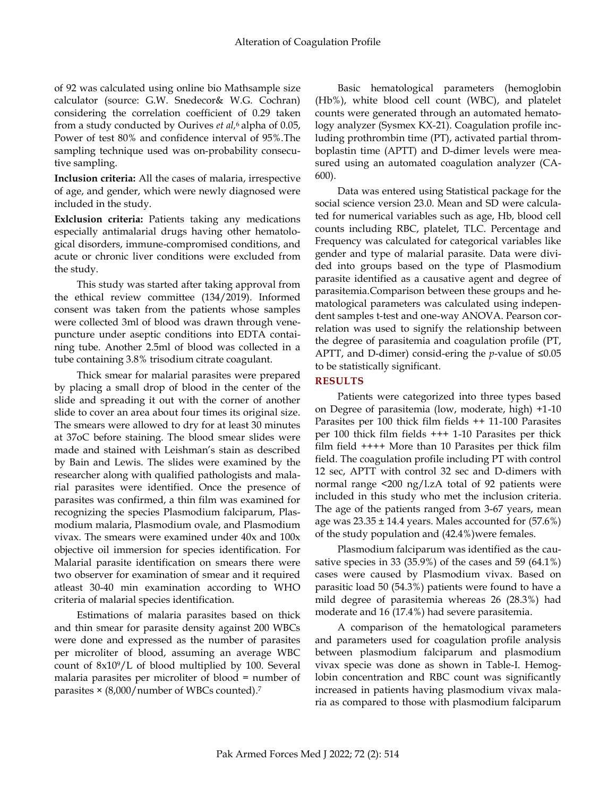of 92 was calculated using online bio Mathsample size calculator (source: G.W. Snedecor& W.G. Cochran) considering the correlation coefficient of 0.29 taken from a study conducted by Ourives *et al,* <sup>6</sup> alpha of 0.05, Power of test 80% and confidence interval of 95%.The sampling technique used was on-probability consecutive sampling.

**Inclusion criteria:** All the cases of malaria, irrespective of age, and gender, which were newly diagnosed were included in the study.

**Exlclusion criteria:** Patients taking any medications especially antimalarial drugs having other hematological disorders, immune-compromised conditions, and acute or chronic liver conditions were excluded from the study.

This study was started after taking approval from the ethical review committee (134/2019). Informed consent was taken from the patients whose samples were collected 3ml of blood was drawn through venepuncture under aseptic conditions into EDTA containing tube. Another 2.5ml of blood was collected in a tube containing 3.8% trisodium citrate coagulant.

Thick smear for malarial parasites were prepared by placing a small drop of blood in the center of the slide and spreading it out with the corner of another slide to cover an area about four times its original size. The smears were allowed to dry for at least 30 minutes at 37oC before staining. The blood smear slides were made and stained with Leishman's stain as described by Bain and Lewis. The slides were examined by the researcher along with qualified pathologists and malarial parasites were identified. Once the presence of parasites was confirmed, a thin film was examined for recognizing the species Plasmodium falciparum, Plasmodium malaria, Plasmodium ovale, and Plasmodium vivax. The smears were examined under 40x and 100x objective oil immersion for species identification. For Malarial parasite identification on smears there were two observer for examination of smear and it required atleast 30-40 min examination according to WHO criteria of malarial species identification.

Estimations of malaria parasites based on thick and thin smear for parasite density against 200 WBCs were done and expressed as the number of parasites per microliter of blood, assuming an average WBC count of 8x109/L of blood multiplied by 100. Several malaria parasites per microliter of blood = number of parasites × (8,000/number of WBCs counted). 7

Basic hematological parameters (hemoglobin (Hb%), white blood cell count (WBC), and platelet counts were generated through an automated hematology analyzer (Sysmex KX-21). Coagulation profile including prothrombin time (PT), activated partial thromboplastin time (APTT) and D-dimer levels were measured using an automated coagulation analyzer (CA-600).

Data was entered using Statistical package for the social science version 23.0. Mean and SD were calculated for numerical variables such as age, Hb, blood cell counts including RBC, platelet, TLC. Percentage and Frequency was calculated for categorical variables like gender and type of malarial parasite. Data were divided into groups based on the type of Plasmodium parasite identified as a causative agent and degree of parasitemia.Comparison between these groups and hematological parameters was calculated using independent samples t-test and one-way ANOVA. Pearson correlation was used to signify the relationship between the degree of parasitemia and coagulation profile (PT, APTT, and D-dimer) consid-ering the *p*-value of ≤0.05 to be statistically significant.

## **RESULTS**

Patients were categorized into three types based on Degree of parasitemia (low, moderate, high) +1-10 Parasites per 100 thick film fields ++ 11-100 Parasites per 100 thick film fields +++ 1-10 Parasites per thick film field ++++ More than 10 Parasites per thick film field. The coagulation profile including PT with control 12 sec, APTT with control 32 sec and D-dimers with normal range <200 ng/l.zA total of 92 patients were included in this study who met the inclusion criteria. The age of the patients ranged from 3-67 years, mean age was  $23.35 \pm 14.4$  years. Males accounted for  $(57.6\%)$ of the study population and (42.4%)were females.

Plasmodium falciparum was identified as the causative species in 33 (35.9%) of the cases and 59 (64.1%) cases were caused by Plasmodium vivax. Based on parasitic load 50 (54.3%) patients were found to have a mild degree of parasitemia whereas 26 (28.3%) had moderate and 16 (17.4%) had severe parasitemia.

A comparison of the hematological parameters and parameters used for coagulation profile analysis between plasmodium falciparum and plasmodium vivax specie was done as shown in Table-I. Hemoglobin concentration and RBC count was significantly increased in patients having plasmodium vivax malaria as compared to those with plasmodium falciparum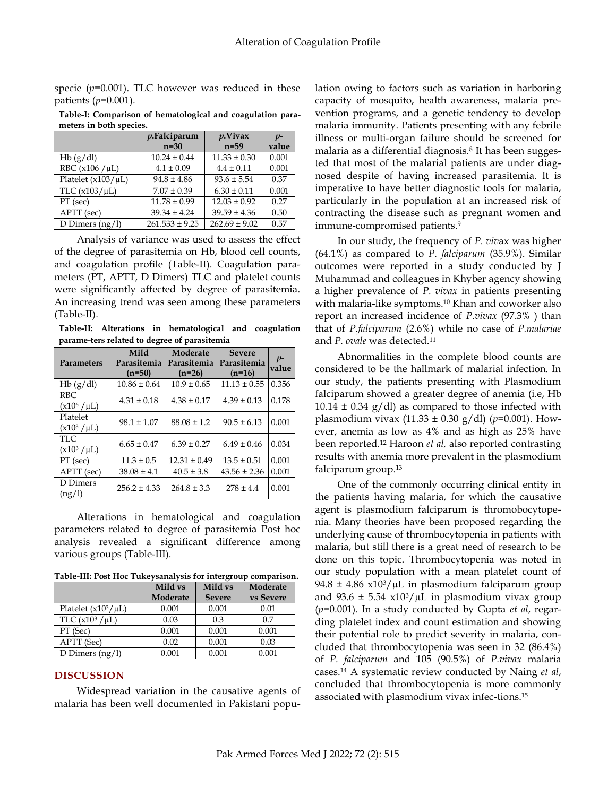specie  $(p=0.001)$ . TLC however was reduced in these patients (*p*=0.001).

**Table-I: Comparison of hematological and coagulation parameters in both species.**

|                         | $p$ . Falciparum<br>$n=30$ | $p$ . Vivax<br>$n=59$ | $p-$<br>value |
|-------------------------|----------------------------|-----------------------|---------------|
| Hb(g/dl)                | $10.24 \pm 0.44$           | $11.33 \pm 0.30$      | 0.001         |
| RBC $(x106 / \mu L)$    | $4.1 \pm 0.09$             | $4.4 \pm 0.11$        | 0.001         |
| Platelet $(x103/\mu L)$ | $94.8 \pm 4.86$            | $93.6 \pm 5.54$       | 0.37          |
| TLC $(x103/\mu L)$      | $7.07 \pm 0.39$            | $6.30 \pm 0.11$       | 0.001         |
| PT (sec)                | $11.78 \pm 0.99$           | $12.03 \pm 0.92$      | 0.27          |
| APTT (sec)              | $39.34 \pm 4.24$           | $39.59 \pm 4.36$      | 0.50          |
| D Dimers $(ng/l)$       | $261.533 \pm 9.25$         | $262.69 \pm 9.02$     | 0.57          |

Analysis of variance was used to assess the effect of the degree of parasitemia on Hb, blood cell counts, and coagulation profile (Table-II). Coagulation parameters (PT, APTT, D Dimers) TLC and platelet counts were significantly affected by degree of parasitemia. An increasing trend was seen among these parameters (Table-II).

**Table-II: Alterations in hematological and coagulation parame-ters related to degree of parasitemia**

|                   | Mild             | Moderate         | <b>Severe</b>    |               |
|-------------------|------------------|------------------|------------------|---------------|
| <b>Parameters</b> | Parasitemia      | Parasitemia      | Parasitemia      | $p-$<br>value |
|                   | $(n=50)$         | $(n=26)$         | $(n=16)$         |               |
| Hb(g/dl)          | $10.86 \pm 0.64$ | $10.9 \pm 0.65$  | $11.13 \pm 0.55$ | 0.356         |
| RBC.              | $4.31 \pm 0.18$  | $4.38 \pm 0.17$  | $4.39 \pm 0.13$  | 0.178         |
| $(x10^6/\mu L)$   |                  |                  |                  |               |
| Platelet          | $98.1 \pm 1.07$  | $88.08 \pm 1.2$  | $90.5 \pm 6.13$  | 0.001         |
| $(x10^3/\mu L)$   |                  |                  |                  |               |
| TLC.              | $6.65 \pm 0.47$  | $6.39 \pm 0.27$  | $6.49 \pm 0.46$  | 0.034         |
| $(x10^3/\mu L)$   |                  |                  |                  |               |
| PT (sec)          | $11.3 \pm 0.5$   | $12.31 \pm 0.49$ | $13.5 \pm 0.51$  | 0.001         |
| APTT (sec)        | $38.08 \pm 4.1$  | $40.5 \pm 3.8$   | $43.56 \pm 2.36$ | 0.001         |
| D Dimers          | $256.2 \pm 4.33$ | $264.8 \pm 3.3$  | $278 \pm 4.4$    | 0.001         |
| (ng/l)            |                  |                  |                  |               |

Alterations in hematological and coagulation parameters related to degree of parasitemia Post hoc analysis revealed a significant difference among various groups (Table-III).

**Table-III: Post Hoc Tukeysanalysis for intergroup comparison.**

|                          | Mild vs  | Mild vs       | Moderate  |
|--------------------------|----------|---------------|-----------|
|                          | Moderate | <b>Severe</b> | vs Severe |
| Platelet $(x10^3/\mu L)$ | 0.001    | 0.001         | 0.01      |
| TLC $(x10^3/\mu L)$      | 0.03     | 0.3           | 0.7       |
| PT (Sec)                 | 0.001    | 0.001         | 0.001     |
| APTT (Sec)               | 0.02     | 0.001         | 0.03      |
| D Dimers $(ng/l)$        | 0.001    | 0.001         | 0.001     |

### **DISCUSSION**

Widespread variation in the causative agents of malaria has been well documented in Pakistani population owing to factors such as variation in harboring capacity of mosquito, health awareness, malaria prevention programs, and a genetic tendency to develop malaria immunity. Patients presenting with any febrile illness or multi-organ failure should be screened for malaria as a differential diagnosis.<sup>8</sup> It has been suggested that most of the malarial patients are under diagnosed despite of having increased parasitemia. It is imperative to have better diagnostic tools for malaria, particularly in the population at an increased risk of contracting the disease such as pregnant women and immune-compromised patients.<sup>9</sup>

In our study, the frequency of *P. viv*ax was higher (64.1%) as compared to *P. falciparum* (35.9%). Similar outcomes were reported in a study conducted by J Muhammad and colleagues in Khyber agency showing a higher prevalence of *P. vivax* in patients presenting with malaria-like symptoms.<sup>10</sup> Khan and coworker also report an increased incidence of *P.vivax* (97.3% ) than that of *P.falciparum* (2.6%) while no case of *P.malariae* and P. ovale was detected.<sup>11</sup>

Abnormalities in the complete blood counts are considered to be the hallmark of malarial infection. In our study, the patients presenting with Plasmodium falciparum showed a greater degree of anemia (i.e, Hb  $10.14 \pm 0.34$  g/dl) as compared to those infected with plasmodium vivax (11.33 ± 0.30 g/dl) (*p*=0.001). However, anemia as low as 4% and as high as 25% have been reported.<sup>12</sup> Haroon *et al,* also reported contrasting results with anemia more prevalent in the plasmodium falciparum group.<sup>13</sup>

One of the commonly occurring clinical entity in the patients having malaria, for which the causative agent is plasmodium falciparum is thromobocytopenia. Many theories have been proposed regarding the underlying cause of thrombocytopenia in patients with malaria, but still there is a great need of research to be done on this topic. Thrombocytopenia was noted in our study population with a mean platelet count of 94.8  $\pm$  4.86 x10<sup>3</sup>/ $\mu$ L in plasmodium falciparum group and 93.6  $\pm$  5.54 x10<sup>3</sup>/ $\mu$ L in plasmodium vivax group (*p*=0.001). In a study conducted by Gupta *et al*, regarding platelet index and count estimation and showing their potential role to predict severity in malaria, concluded that thrombocytopenia was seen in 32 (86.4%) of *P. falciparum* and 105 (90.5%) of *P.vivax* malaria cases.<sup>14</sup> A systematic review conducted by Naing *et al*, concluded that thrombocytopenia is more commonly associated with plasmodium vivax infec-tions.15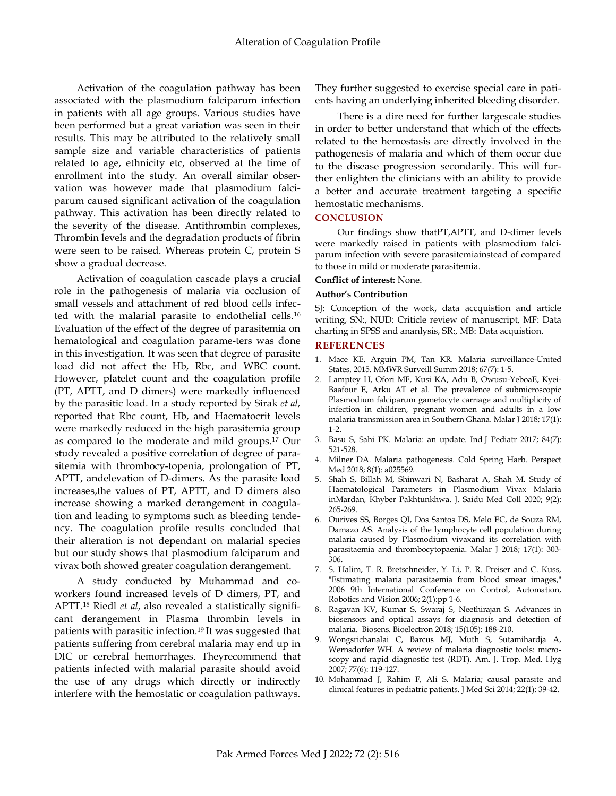Activation of the coagulation pathway has been associated with the plasmodium falciparum infection in patients with all age groups. Various studies have been performed but a great variation was seen in their results. This may be attributed to the relatively small sample size and variable characteristics of patients related to age, ethnicity etc, observed at the time of enrollment into the study. An overall similar observation was however made that plasmodium falciparum caused significant activation of the coagulation pathway. This activation has been directly related to the severity of the disease. Antithrombin complexes, Thrombin levels and the degradation products of fibrin were seen to be raised. Whereas protein C, protein S show a gradual decrease.

Activation of coagulation cascade plays a crucial role in the pathogenesis of malaria via occlusion of small vessels and attachment of red blood cells infected with the malarial parasite to endothelial cells.<sup>16</sup> Evaluation of the effect of the degree of parasitemia on hematological and coagulation parame-ters was done in this investigation. It was seen that degree of parasite load did not affect the Hb, Rbc, and WBC count. However, platelet count and the coagulation profile (PT, APTT, and D dimers) were markedly influenced by the parasitic load. In a study reported by Sirak *et al,* reported that Rbc count, Hb, and Haematocrit levels were markedly reduced in the high parasitemia group as compared to the moderate and mild groups.<sup>17</sup> Our study revealed a positive correlation of degree of parasitemia with thrombocy-topenia, prolongation of PT, APTT, andelevation of D-dimers. As the parasite load increases,the values of PT, APTT, and D dimers also increase showing a marked derangement in coagulation and leading to symptoms such as bleeding tendency. The coagulation profile results concluded that their alteration is not dependant on malarial species but our study shows that plasmodium falciparum and vivax both showed greater coagulation derangement.

A study conducted by Muhammad and coworkers found increased levels of D dimers, PT, and APTT.<sup>18</sup> Riedl *et al*, also revealed a statistically significant derangement in Plasma thrombin levels in patients with parasitic infection.<sup>19</sup> It was suggested that patients suffering from cerebral malaria may end up in DIC or cerebral hemorrhages. Theyrecommend that patients infected with malarial parasite should avoid the use of any drugs which directly or indirectly interfere with the hemostatic or coagulation pathways.

They further suggested to exercise special care in patients having an underlying inherited bleeding disorder.

There is a dire need for further largescale studies in order to better understand that which of the effects related to the hemostasis are directly involved in the pathogenesis of malaria and which of them occur due to the disease progression secondarily. This will further enlighten the clinicians with an ability to provide a better and accurate treatment targeting a specific hemostatic mechanisms.

### **CONCLUSION**

Our findings show thatPT,APTT, and D-dimer levels were markedly raised in patients with plasmodium falciparum infection with severe parasitemiainstead of compared to those in mild or moderate parasitemia.

## **Conflict of interest:** None.

#### **Author's Contribution**

SJ: Conception of the work, data accquistion and article writing, SN:, NUD: Criticle review of manuscript, MF: Data charting in SPSS and ananlysis, SR:, MB: Data acquistion.

#### **REFERENCES**

- 1. Mace KE, Arguin PM, Tan KR. Malaria surveillance-United States, 2015. MMWR Surveill Summ 2018; 67(7): 1-5.
- 2. Lamptey H, Ofori MF, Kusi KA, Adu B, Owusu-YeboaE, Kyei-Baafour E, Arku AT et al. The prevalence of submicroscopic Plasmodium falciparum gametocyte carriage and multiplicity of infection in children, pregnant women and adults in a low malaria transmission area in Southern Ghana. Malar J 2018; 17(1): 1-2.
- 3. Basu S, Sahi PK. Malaria: an update. Ind J Pediatr 2017; 84(7): 521-528.
- 4. Milner DA. Malaria pathogenesis. Cold Spring Harb. Perspect Med 2018; 8(1): a025569.
- 5. Shah S, Billah M, Shinwari N, Basharat A, Shah M. Study of Haematological Parameters in Plasmodium Vivax Malaria inMardan, Khyber Pakhtunkhwa. J. Saidu Med Coll 2020; 9(2): 265-269.
- 6. Ourives SS, Borges QI, Dos Santos DS, Melo EC, de Souza RM, Damazo AS. Analysis of the lymphocyte cell population during malaria caused by Plasmodium vivaxand its correlation with parasitaemia and thrombocytopaenia. Malar J 2018; 17(1): 303- 306.
- 7. S. Halim, T. R. Bretschneider, Y. Li, P. R. Preiser and C. Kuss, "Estimating malaria parasitaemia from blood smear images," 2006 9th International Conference on Control, Automation, Robotics and Vision 2006; 2(1):pp 1-6.
- 8. Ragavan KV, Kumar S, Swaraj S, Neethirajan S. Advances in biosensors and optical assays for diagnosis and detection of malaria. Biosens. Bioelectron 2018; 15(105): 188-210.
- 9. Wongsrichanalai C, Barcus MJ, Muth S, Sutamihardja A, Wernsdorfer WH. A review of malaria diagnostic tools: microscopy and rapid diagnostic test (RDT). Am. J. Trop. Med. Hyg 2007; 77(6): 119-127.
- 10. Mohammad J, Rahim F, Ali S. Malaria; causal parasite and clinical features in pediatric patients. J Med Sci 2014; 22(1): 39-42.